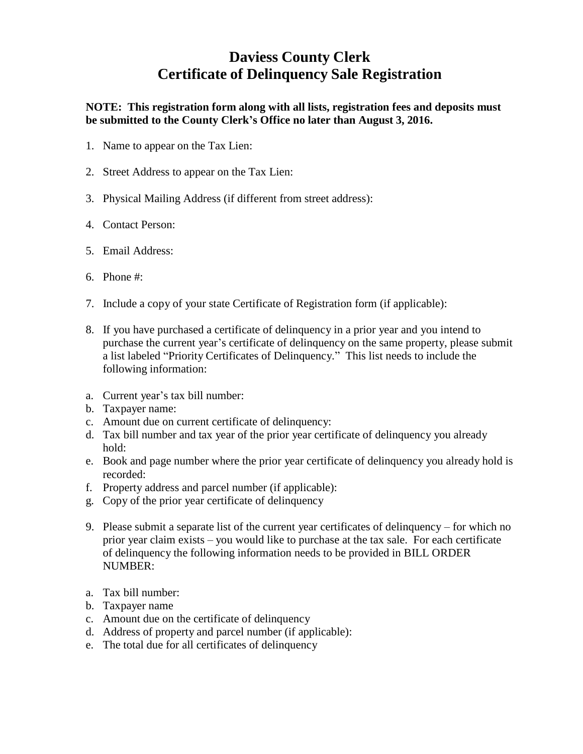## **Daviess County Clerk Certificate of Delinquency Sale Registration**

**NOTE: This registration form along with all lists, registration fees and deposits must be submitted to the County Clerk's Office no later than August 3, 2016.**

- 1. Name to appear on the Tax Lien:
- 2. Street Address to appear on the Tax Lien:
- 3. Physical Mailing Address (if different from street address):
- 4. Contact Person:
- 5. Email Address:
- 6. Phone #:
- 7. Include a copy of your state Certificate of Registration form (if applicable):
- 8. If you have purchased a certificate of delinquency in a prior year and you intend to purchase the current year's certificate of delinquency on the same property, please submit a list labeled "Priority Certificates of Delinquency." This list needs to include the following information:
- a. Current year's tax bill number:
- b. Taxpayer name:
- c. Amount due on current certificate of delinquency:
- d. Tax bill number and tax year of the prior year certificate of delinquency you already hold:
- e. Book and page number where the prior year certificate of delinquency you already hold is recorded:
- f. Property address and parcel number (if applicable):
- g. Copy of the prior year certificate of delinquency
- 9. Please submit a separate list of the current year certificates of delinquency for which no prior year claim exists – you would like to purchase at the tax sale. For each certificate of delinquency the following information needs to be provided in BILL ORDER NUMBER:
- a. Tax bill number:
- b. Taxpayer name
- c. Amount due on the certificate of delinquency
- d. Address of property and parcel number (if applicable):
- e. The total due for all certificates of delinquency